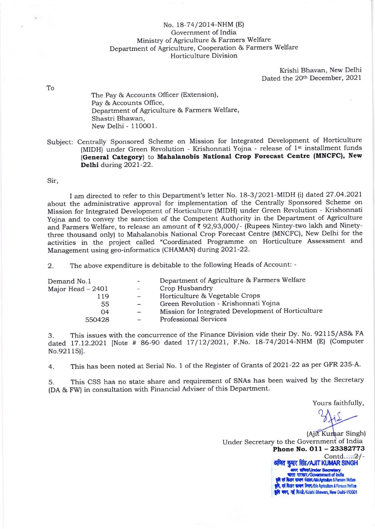## No. 18-74/2014-NHM (E) Government of India Minisby of Agriculture & Farmers Welfare Department of Agriculture, Cooperation & Farmers Welfare Horticulture Division

Krishi Bhavan, New Delhi Dated the 20th December, 2021

To

The Pay & Accounts Officer (Extension), Pay & Accounts Office, Department of Agriculture & Farmers Welfare, Shastri Bhawan, New Delhi - 110001.

Subject: Centrally Sponsored Scheme on Mission for Integrated Development of Horticulture (MIDH) under Green Revolution - Krishonnati Yojna - release of 1<sup>st</sup> installment funds (General Category) to Mahalanobis National Crop Forecast Centre (MNCFC), New Delhi during 2021-22.

## Sir,

I am directed to refer to this Department's letter No. 18-3/2021-MIDH (i) dated 27.o4.2021 about the administrative approval for implementation of the Centrally Sponsored Scheme on Mission for Integrated Development of Horticulture (MIDH) under Green Revolution - Krishonnati yojna and to convey the sanction of the Competent Authority in the Department of Agriculture and Farmers Welfare, to release an amount of  $\bar{\tau}$  92,93,000/- (Rupees Nintey-two lakh and Ninetythree thousand only) to Mahalanobis National Crop Forecast Centre (MNCFC), New Delhi for the activities in the project called "Coordinated Programme on Horticulture Assessment and Management using geo-informatics (CHAMAN) during 2021-22.

2. The above expenditure is debitable to the following Heads of Account: -

| Demand No.1       | $\overline{\phantom{a}}$ | Department of Agriculture & Farmers Welfare        |
|-------------------|--------------------------|----------------------------------------------------|
| Major Head - 2401 | $\overline{\phantom{a}}$ | Crop Husbandry                                     |
| 119               | $-$                      | Horticulture & Vegetable Crops                     |
| 55                | $-$                      | Green Revolution - Krishonnati Yojna               |
| 04                | $\overline{\phantom{0}}$ | Mission for Integrated Development of Horticulture |
| 550428            |                          | <b>Professional Services</b>                       |
|                   |                          |                                                    |

3. This issues with the concurrence of the Finance Division vide their Dy. No. 92115/AS& FA dated 17.12.2021 [Note # 86-90 dated 17/12/2021, F.No. 18-74/2014-NHM (E) (Computer No.92115)].

4. This has been noted at Serial No. 1 of the Register of Grants of 2021-22 as per GFR 235-A.

5. This CSS has no state share and requirement of SNAs has been waived by the Secretary (DA & FW) in consultation with Financial Adviser of this Department.

Yours faithfullY,

(Ajit Kumar Singh) Under Secretary to the Government of India Phone No. 011 - 23382773 Contd.....2/- अजित कुमार सिंह/AJIT KUMAR SINGH<br>' अन्य संस्थि/Under Secretary<br>पारत सरकार/Government of India चारत सरकार/Government of India<br><mark>कृषि एवं किसान कल्बाण मंत्रास/MoAgriculture & Famers Welfare</mark> एवं किसान कल्याण विषाण/D/o Agriculture & Fermers Welfare भवन, नई दिल्ली/Krishi Bhawan, New Delhi-110001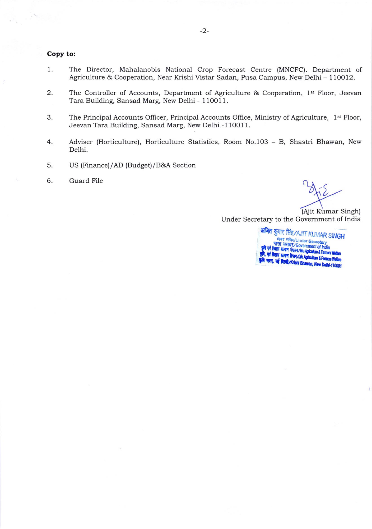## Copy to:

- I The Director, Mahalanobis National Crop Forecast Centre (MNCFC). Department of Agriculture & Cooperation, Near Krishi Vistar Sadan, Pusa Campus, New Delhi - 110012.
- 2. The Controller of Accounts, Department of Agriculture & Cooperation, 1<sup>st</sup> Floor, Jeevan Tara Building, Sansad Marg, New Delhi - 110011.
- 3. The Principal Accounts Officer, Principal Accounts Office, Ministry of Agriculture, 1<sup>st</sup> Floor, Jeevan Tara Building, Sansad Marg, New Delhi - 110011.
- 4 Adviser (Horticulture), Horticulture Statistics, Room No.1O3 - B, Shastri Bhawan, New Delhi.
- US (Finance)/AD (Budget)/B&A Section 5
- Guard File 6

(Ajit Kumar Singh)

Under Secretary to the Government of India